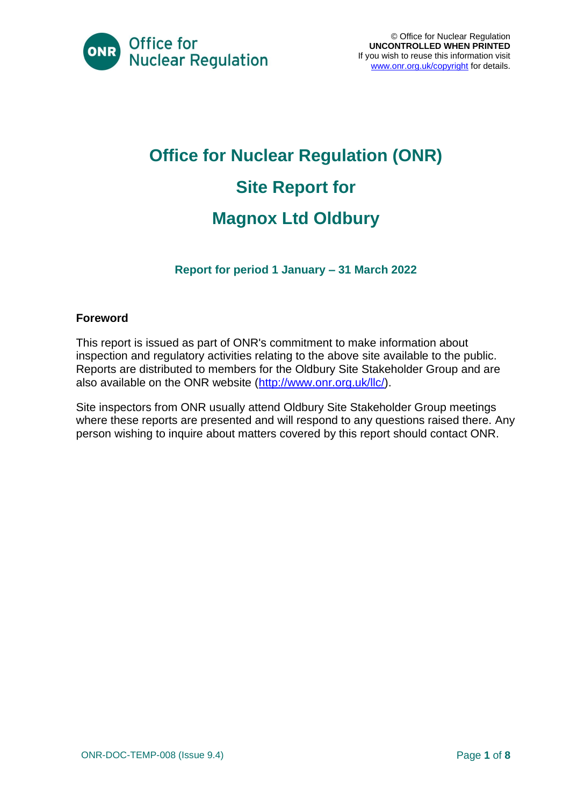

# **Office for Nuclear Regulation (ONR) Site Report for Magnox Ltd Oldbury**

**Report for period 1 January – 31 March 2022**

#### **Foreword**

This report is issued as part of ONR's commitment to make information about inspection and regulatory activities relating to the above site available to the public. Reports are distributed to members for the Oldbury Site Stakeholder Group and are also available on the ONR website [\(http://www.onr.org.uk/llc/\)](http://www.onr.org.uk/llc/).

Site inspectors from ONR usually attend Oldbury Site Stakeholder Group meetings where these reports are presented and will respond to any questions raised there. Any person wishing to inquire about matters covered by this report should contact ONR.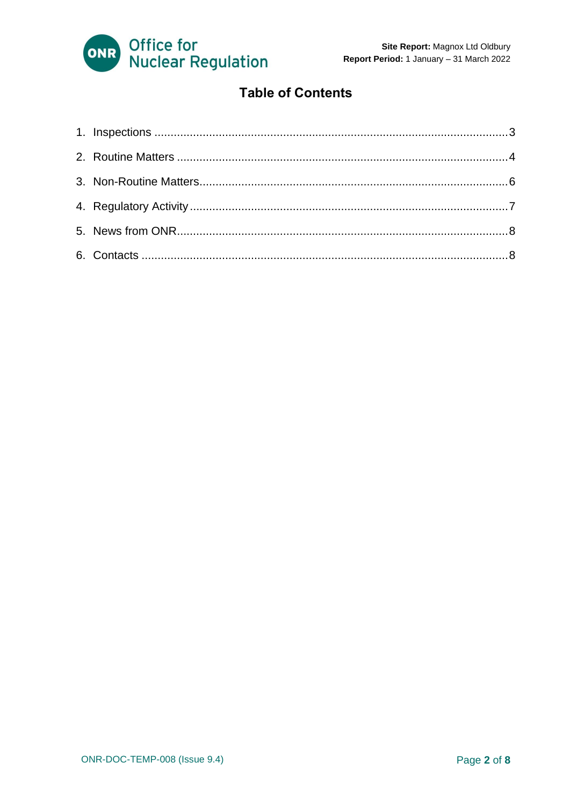

#### **Table of Contents**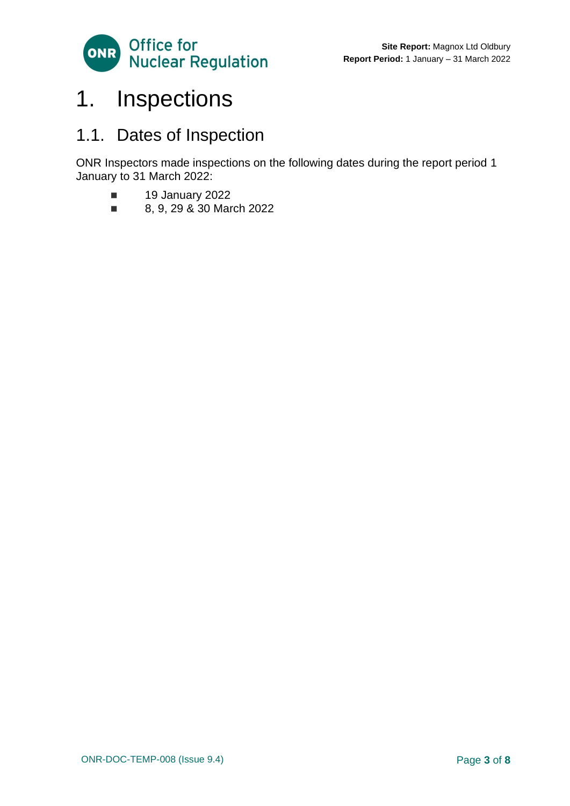

### <span id="page-2-0"></span>1. Inspections

### 1.1. Dates of Inspection

ONR Inspectors made inspections on the following dates during the report period 1 January to 31 March 2022:

- 19 January 2022
- 8, 9, 29 & 30 March 2022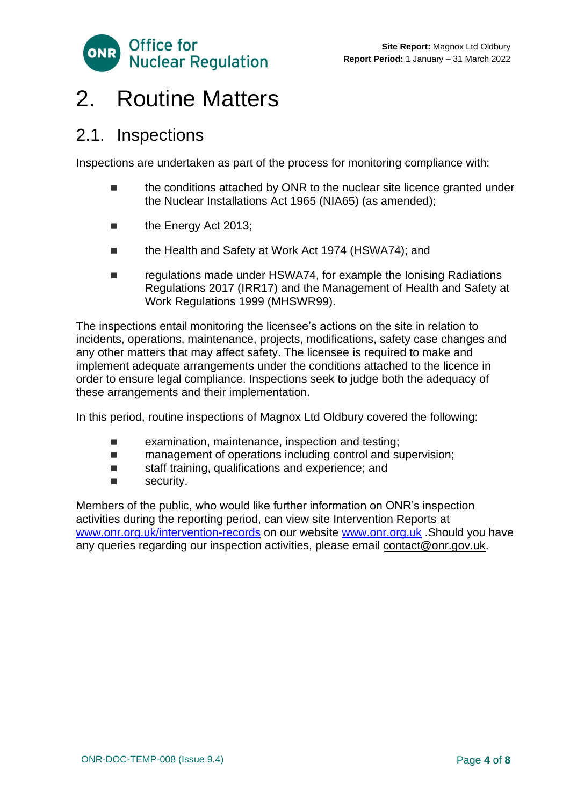

### <span id="page-3-0"></span>2. Routine Matters

#### 2.1. Inspections

Inspections are undertaken as part of the process for monitoring compliance with:

- the conditions attached by ONR to the nuclear site licence granted under the Nuclear Installations Act 1965 (NIA65) (as amended);
- the Energy Act 2013;
- the Health and Safety at Work Act 1974 (HSWA74); and
- regulations made under HSWA74, for example the Ionising Radiations Regulations 2017 (IRR17) and the Management of Health and Safety at Work Regulations 1999 (MHSWR99).

The inspections entail monitoring the licensee's actions on the site in relation to incidents, operations, maintenance, projects, modifications, safety case changes and any other matters that may affect safety. The licensee is required to make and implement adequate arrangements under the conditions attached to the licence in order to ensure legal compliance. Inspections seek to judge both the adequacy of these arrangements and their implementation.

In this period, routine inspections of Magnox Ltd Oldbury covered the following:

- examination, maintenance, inspection and testing;
- management of operations including control and supervision;
- staff training, qualifications and experience; and
- security.

Members of the public, who would like further information on ONR's inspection activities during the reporting period, can view site Intervention Reports at [www.onr.org.uk/intervention-records](http://www.onr.org.uk./intervention-records) on our website [www.onr.org.uk](http://www.onr.org.uk/) .Should you have any queries regarding our inspection activities, please email [contact@onr.gov.uk.](mailto:contact@onr.gov.uk)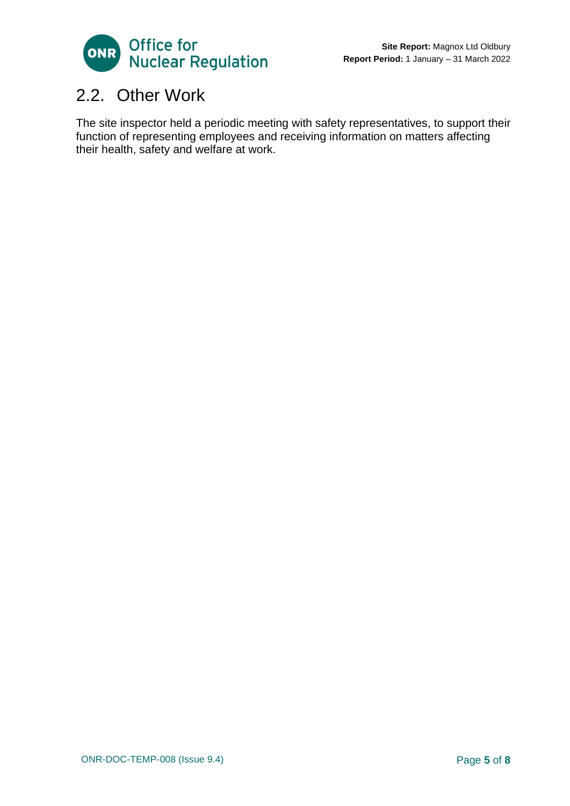

### 2.2. Other Work

The site inspector held a periodic meeting with safety representatives, to support their function of representing employees and receiving information on matters affecting their health, safety and welfare at work.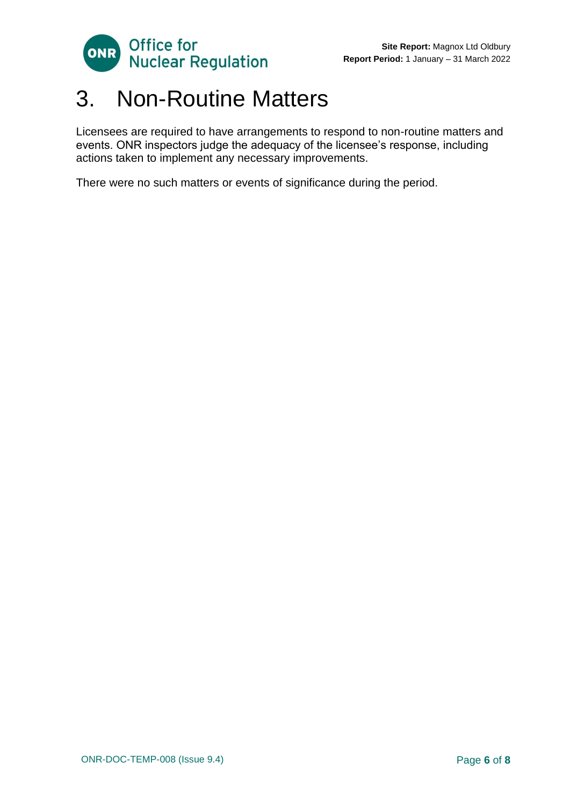

### <span id="page-5-0"></span>3. Non-Routine Matters

Licensees are required to have arrangements to respond to non-routine matters and events. ONR inspectors judge the adequacy of the licensee's response, including actions taken to implement any necessary improvements.

There were no such matters or events of significance during the period.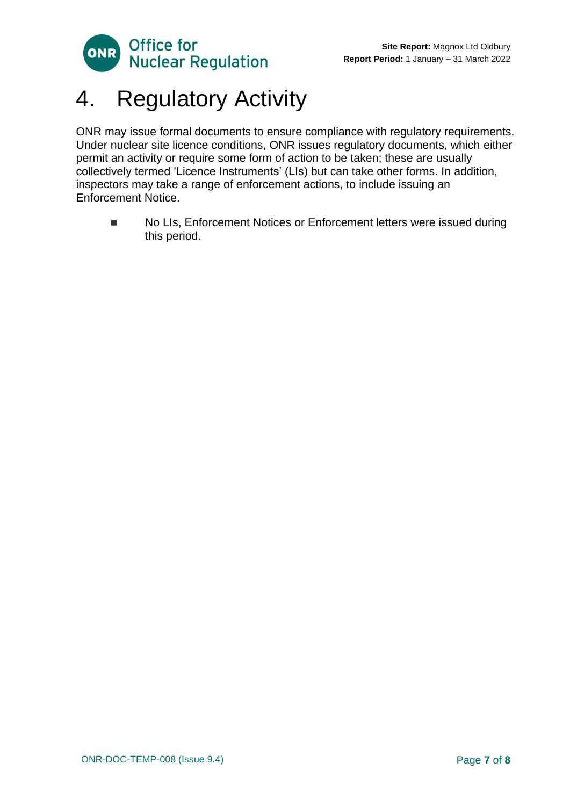

## <span id="page-6-0"></span>4. Regulatory Activity

ONR may issue formal documents to ensure compliance with regulatory requirements. Under nuclear site licence conditions, ONR issues regulatory documents, which either permit an activity or require some form of action to be taken; these are usually collectively termed 'Licence Instruments' (LIs) but can take other forms. In addition, inspectors may take a range of enforcement actions, to include issuing an Enforcement Notice.

■ No LIs, Enforcement Notices or Enforcement letters were issued during this period.